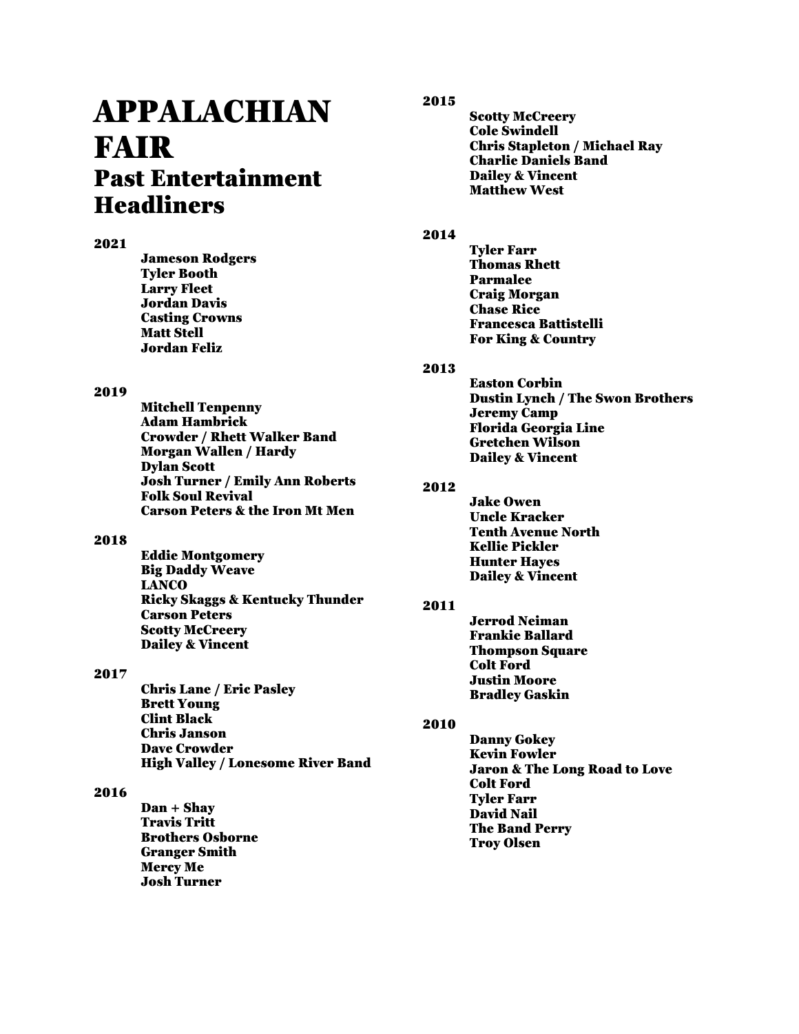# APPALACHIAN FAIR Past Entertainment Headliners

## 2021

Jameson Rodgers Tyler Booth Larry Fleet Jordan Davis Casting Crowns Matt Stell Jordan Feliz

#### 2019

Mitchell Tenpenny Adam Hambrick Crowder / Rhett Walker Band Morgan Wallen / Hardy Dylan Scott Josh Turner / Emily Ann Roberts Folk Soul Revival Carson Peters & the Iron Mt Men

## 2018

Eddie Montgomery Big Daddy Weave **LANCO** Ricky Skaggs & Kentucky Thunder Carson Peters Scotty McCreery Dailey & Vincent

## 2017

Chris Lane / Eric Pasley Brett Young Clint Black Chris Janson Dave Crowder High Valley / Lonesome River Band

## 2016

Dan + Shay Travis Tritt Brothers Osborne Granger Smith Mercy Me Josh Turner

## 2015

Scotty McCreery Cole Swindell Chris Stapleton / Michael Ray Charlie Daniels Band Dailey & Vincent Matthew West

#### 2014

Tyler Farr Thomas Rhett Parmalee Craig Morgan Chase Rice Francesca Battistelli For King & Country

## 2013

Easton Corbin Dustin Lynch / The Swon Brothers Jeremy Camp Florida Georgia Line Gretchen Wilson Dailey & Vincent

## 2012

Jake Owen Uncle Kracker Tenth Avenue North Kellie Pickler Hunter Hayes Dailey & Vincent

## 2011

Jerrod Neiman Frankie Ballard Thompson Square Colt Ford Justin Moore Bradley Gaskin

# 2010

Danny Gokey Kevin Fowler Jaron & The Long Road to Love Colt Ford Tyler Farr David Nail The Band Perry Troy Olsen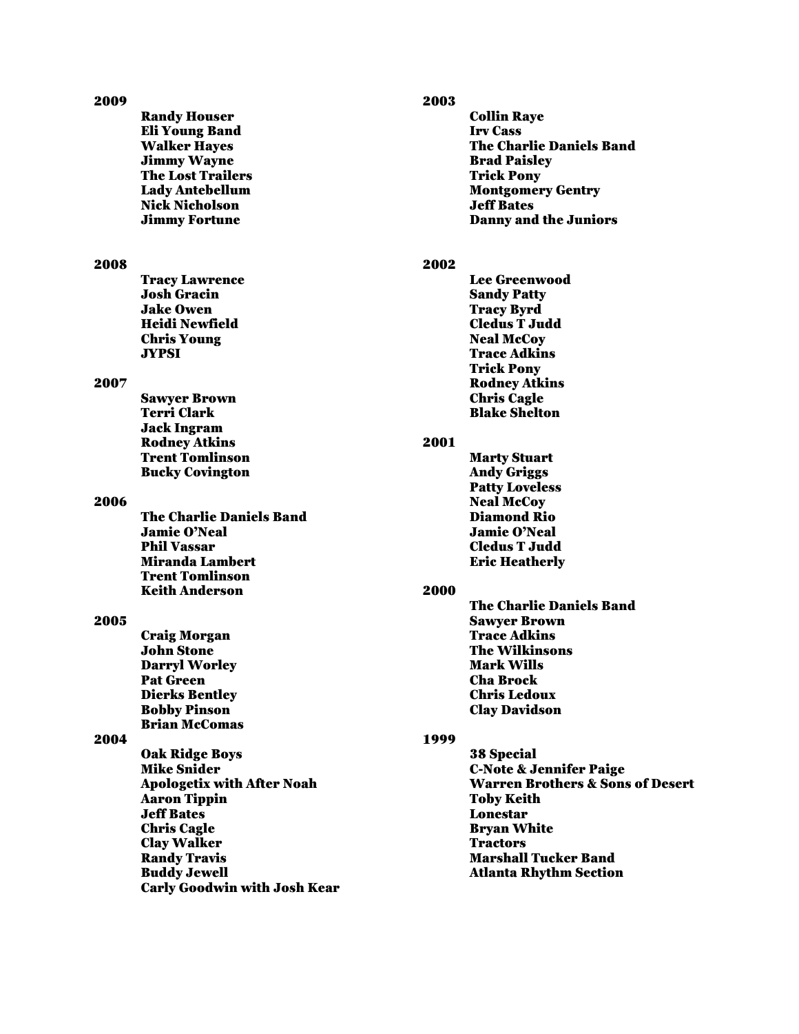| 2009 |                                            | 2003 |                                             |
|------|--------------------------------------------|------|---------------------------------------------|
|      | <b>Randy Houser</b>                        |      | <b>Collin Raye</b>                          |
|      | <b>Eli Young Band</b>                      |      | <b>Irv Cass</b>                             |
|      | <b>Walker Hayes</b>                        |      | <b>The Charlie Daniels Band</b>             |
|      | <b>Jimmy Wayne</b>                         |      | <b>Brad Paisley</b>                         |
|      | <b>The Lost Trailers</b>                   |      | <b>Trick Pony</b>                           |
|      | <b>Lady Antebellum</b>                     |      | <b>Montgomery Gentry</b>                    |
|      | <b>Nick Nicholson</b>                      |      | <b>Jeff Bates</b>                           |
|      | <b>Jimmy Fortune</b>                       |      | <b>Danny and the Juniors</b>                |
|      |                                            |      |                                             |
|      |                                            |      |                                             |
| 2008 |                                            | 2002 |                                             |
|      | <b>Tracy Lawrence</b>                      |      | <b>Lee Greenwood</b>                        |
|      | <b>Josh Gracin</b>                         |      | <b>Sandy Patty</b>                          |
|      | <b>Jake Owen</b>                           |      | <b>Tracy Byrd</b><br><b>Cledus T Judd</b>   |
|      | <b>Heidi Newfield</b>                      |      |                                             |
|      | <b>Chris Young</b>                         |      | <b>Neal McCoy</b><br><b>Trace Adkins</b>    |
|      | <b>JYPSI</b>                               |      |                                             |
|      |                                            |      | <b>Trick Pony</b>                           |
| 2007 |                                            |      | <b>Rodney Atkins</b>                        |
|      | <b>Sawyer Brown</b><br><b>Terri Clark</b>  |      | <b>Chris Cagle</b><br><b>Rlake Shelton</b>  |
|      |                                            |      |                                             |
|      | <b>Jack Ingram</b><br><b>Rodney Atkins</b> | 2001 |                                             |
|      | <b>Trent Tomlinson</b>                     |      | <b>Marty Stuart</b>                         |
|      | <b>Bucky Covington</b>                     |      | <b>Andy Griggs</b>                          |
|      |                                            |      | <b>Patty Loveless</b>                       |
| 2006 |                                            |      | <b>Neal McCoy</b>                           |
|      | <b>The Charlie Daniels Band</b>            |      | Diamond Rio                                 |
|      | <b>Jamie O'Neal</b>                        |      | <b>Jamie O'Neal</b>                         |
|      | <b>Phil Vassar</b>                         |      | <b>Cledus T Judd</b>                        |
|      | <b>Miranda Lambert</b>                     |      | <b>Eric Heatherly</b>                       |
|      | <b>Trent Tomlinson</b>                     |      |                                             |
|      | <b>Keith Anderson</b>                      | 2000 |                                             |
|      |                                            |      | <b>The Charlie Daniels Band</b>             |
| 2005 |                                            |      | <b>Sawyer Brown</b>                         |
|      | Craig Morgan                               |      | <b>Trace Adkins</b>                         |
|      | <b>John Stone</b>                          |      | <b>The Wilkinsons</b>                       |
|      | <b>Darryl Worley</b>                       |      | <b>Mark Wills</b>                           |
|      | <b>Pat Green</b>                           |      | <b>Cha Brock</b>                            |
|      | <b>Dierks Bentley</b>                      |      | <b>Chris Ledoux</b>                         |
|      | <b>Bobby Pinson</b>                        |      | <b>Clay Davidson</b>                        |
|      | <b>Brian McComas</b>                       |      |                                             |
| 2004 |                                            | 1999 |                                             |
|      | <b>Oak Ridge Boys</b>                      |      | 38 Special                                  |
|      | <b>Mike Snider</b>                         |      | <b>C-Note &amp; Jennifer Paige</b>          |
|      | <b>Apologetix with After Noah</b>          |      | <b>Warren Brothers &amp; Sons of Desert</b> |
|      | <b>Aaron Tippin</b>                        |      | <b>Toby Keith</b>                           |
|      | <b>Jeff Bates</b>                          |      | <b>Lonestar</b>                             |
|      | <b>Chris Cagle</b>                         |      | <b>Bryan White</b>                          |
|      | <b>Clay Walker</b>                         |      | <b>Tractors</b>                             |
|      | <b>Randy Travis</b>                        |      | <b>Marshall Tucker Band</b>                 |
|      | <b>Buddy Jewell</b>                        |      | <b>Atlanta Rhythm Section</b>               |
|      | <b>Carly Goodwin with Josh Kear</b>        |      |                                             |
|      |                                            |      |                                             |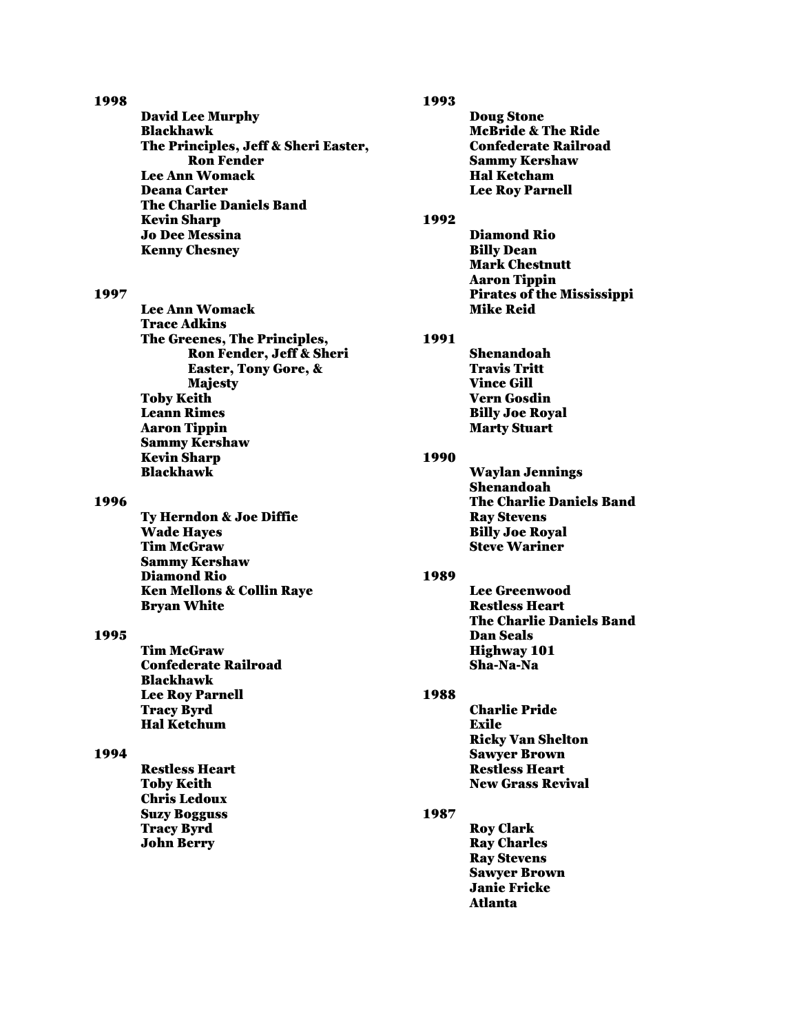#### 1998

David Lee Murphy Blackhawk The Principles, Jeff & Sheri Easter, Ron Fender Lee Ann Womack Deana Carter The Charlie Daniels Band Kevin Sharp Jo Dee Messina Kenny Chesney

#### 1997

Lee Ann Womack Trace Adkins The Greenes, The Principles, Ron Fender, Jeff & Sheri Easter, Tony Gore, & Majesty Toby Keith Leann Rimes Aaron Tippin Sammy Kershaw Kevin Sharp Blackhawk

#### 1996

Ty Herndon & Joe Diffie Wade Hayes Tim McGraw Sammy Kershaw Diamond Rio Ken Mellons & Collin Raye Bryan White

## 1995

Tim McGraw Confederate Railroad Blackhawk Lee Roy Parnell Tracy Byrd Hal Ketchum

#### 1994

Restless Heart Toby Keith Chris Ledoux Suzy Bogguss Tracy Byrd John Berry

#### 1993

Doug Stone McBride & The Ride Confederate Railroad Sammy Kershaw Hal Ketcham Lee Roy Parnell

## 1992

Diamond Rio Billy Dean Mark Chestnutt Aaron Tippin Pirates of the Mississippi Mike Reid

## 1991

Shenandoah Travis Tritt Vince Gill Vern Gosdin Billy Joe Royal Marty Stuart

## 1990

Waylan Jennings Shenandoah The Charlie Daniels Band Ray Stevens Billy Joe Royal Steve Wariner

#### 1989

Lee Greenwood Restless Heart The Charlie Daniels Band Dan Seals Highway 101 Sha-Na-Na

## 1988

Charlie Pride Exile Ricky Van Shelton Sawyer Brown Restless Heart New Grass Revival

## 1987

Roy Clark Ray Charles Ray Stevens Sawyer Brown Janie Fricke Atlanta